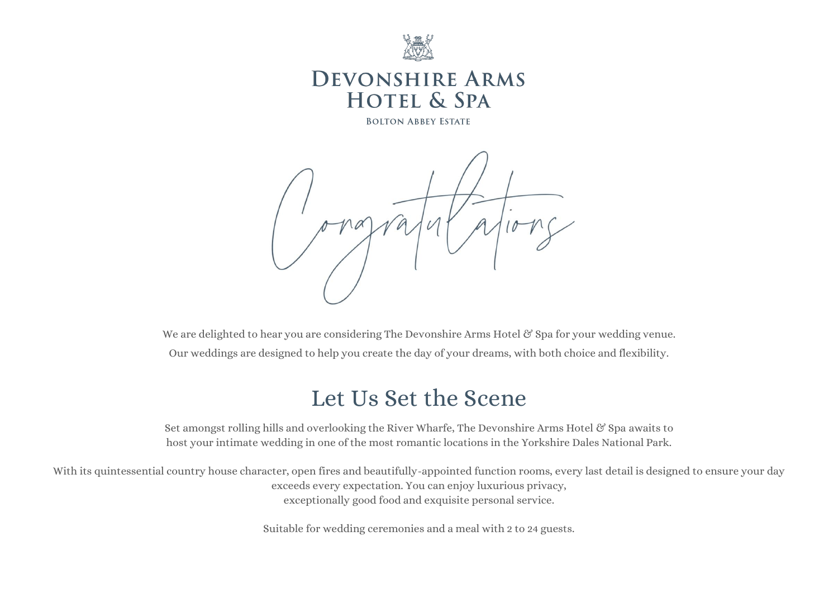

# **DEVONSHIRE ARMS HOTEL & SPA**

**BOLTON ABBEY ESTATE** 



We are delighted to hear you are considering The Devonshire Arms Hotel & Spa for your wedding venue. Our weddings are designed to help you create the day of your dreams, with both choice and flexibility.

# Let Us Set the Scene

Set amongst rolling hills and overlooking the River Wharfe, The Devonshire Arms Hotel & Spa awaits to host your intimate wedding in one of the most romantic locations in the Yorkshire Dales National Park.

With its quintessential country house character, open fires and beautifully-appointed function rooms, every last detail is designed to ensure your day exceeds every expectation. You can enjoy luxurious privacy, exceptionally good food and exquisite personal service.

Suitable for wedding ceremonies and a meal with 2 to 24 guests.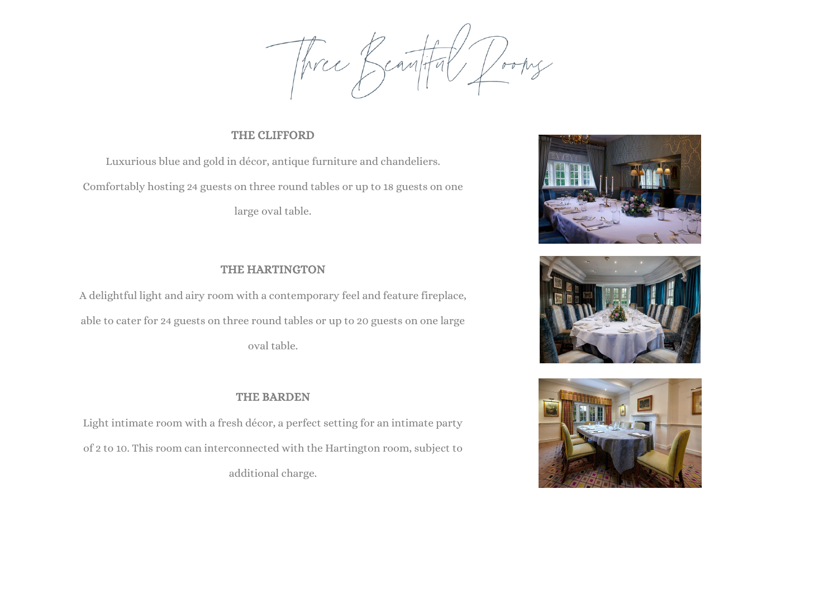Three Beautiful Dooms

### THE CLIFFORD

Luxurious blue and gold in décor, antique furniture and chandeliers. Comfortably hosting 24 guests on three round tables or up to 18 guests on one large oval table.

### THE HARTINGTON

A delightful light and airy room with a contemporary feel and feature fireplace, able to cater for 24 guests on three round tables or up to 20 guests on one large oval table.

### THE BARDEN

Light intimate room with a fresh décor, a perfect setting for an intimate party of 2 to 10. This room can interconnected with the Hartington room, subject to additional charge.





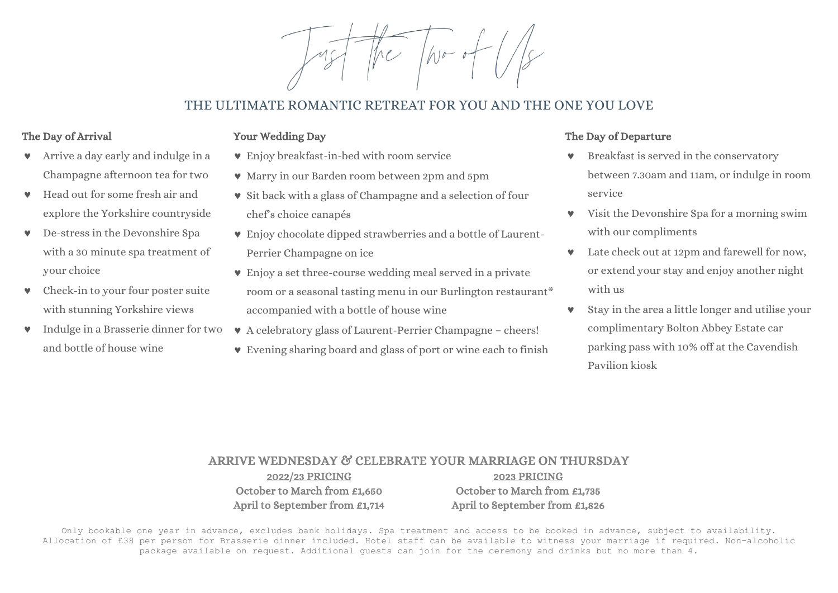$A1000$ 

# THE ULTIMATE ROMANTIC RETREAT FOR YOU AND THE ONE YOU LOVE

### The Day of Arrival

### Your Wedding Day

- Arrive a day early and indulge in a Champagne afternoon tea for two
- Head out for some fresh air and explore the Yorkshire countryside
- De-stress in the Devonshire Spa with a 30 minute spa treatment of your choice
- **v** Check-in to your four poster suite with stunning Yorkshire views
- and bottle of house wine
- Enjoy breakfast-in-bed with room service
	- Marry in our Barden room between 2pm and 5pm
	- $\bullet$  Sit back with a glass of Champagne and a selection of four chef's choice canapés
	- Enjoy chocolate dipped strawberries and a bottle of Laurent-Perrier Champagne on ice
	- Enjoy a set three-course wedding meal served in a private room or a seasonal tasting menu in our Burlington restaurant\* accompanied with a bottle of house wine
- $\bullet$  Indulge in a Brasserie dinner for two  $\bullet$  A celebratory glass of Laurent-Perrier Champagne cheers!
	- Evening sharing board and glass of port or wine each to finish

### The Day of Departure

- Breakfast is served in the conservatory between 7.30am and 11am, or indulge in room service
- Visit the Devonshire Spa for a morning swim with our compliments
- Late check out at 12pm and farewell for now, or extend your stay and enjoy another night with us
- Stay in the area a little longer and utilise your complimentary Bolton Abbey Estate car parking pass with 10% off at the Cavendish Pavilion kiosk

#### ARRIVE WEDNESDAY & CELEBRATE YOUR MARRIAGE ON THURSDAY 2022/23 PRICING 2023 PRICING October to March from £1,650 April to September from £1,714 October to March from £1,735 April to September from £1,826

Only bookable one year in advance, excludes bank holidays. Spa treatment and access to be booked in advance, subject to availability. Allocation of £38 per person for Brasserie dinner included. Hotel staff can be available to witness your marriage if required. Non-alcoholic package available on request. Additional guests can join for the ceremony and drinks but no more than 4.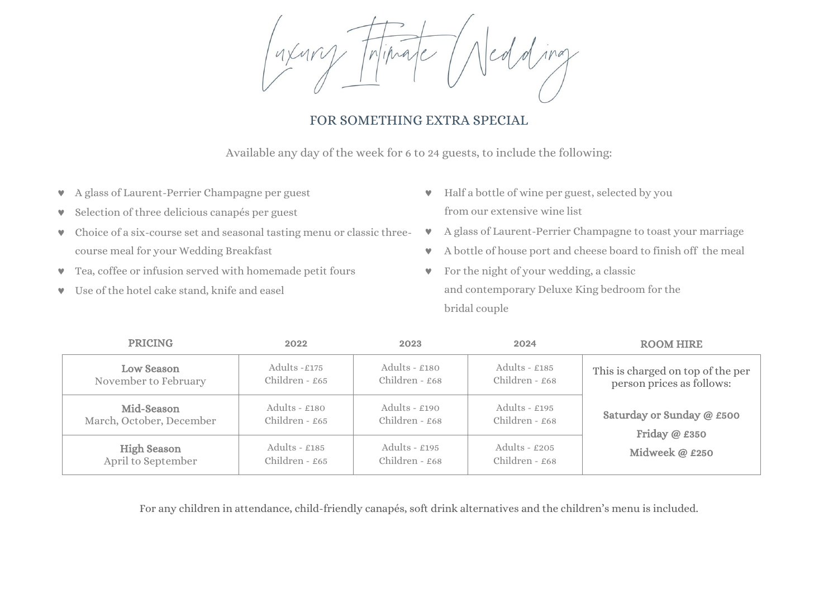Triprate

# FOR SOMETHING EXTRA SPECIAL

Available any day of the week for 6 to 24 guests, to include the following:

- A glass of Laurent-Perrier Champagne per guest
- Selection of three delicious canapés per guest
- Choice of a six-course set and seasonal tasting menu or classic threecourse meal for your Wedding Breakfast
- Tea, coffee or infusion served with homemade petit fours
- Use of the hotel cake stand, knife and easel
- Half a bottle of wine per guest, selected by you from our extensive wine list
- A glass of Laurent-Perrier Champagne to toast your marriage
- A bottle of house port and cheese board to finish off the meal
- **v** For the night of your wedding, a classic and contemporary Deluxe King bedroom for the bridal couple

| <b>PRICING</b>                           | 2022                                | 2023                                | 2024                                | <b>ROOM HIRE</b>                                               |
|------------------------------------------|-------------------------------------|-------------------------------------|-------------------------------------|----------------------------------------------------------------|
| Low Season<br>November to February       | Adults $-£175$<br>Children - $£65$  | Adults - $£180$<br>Children - $£68$ | Adults - $£185$<br>Children - £68   | This is charged on top of the per<br>person prices as follows: |
| Mid-Season<br>March, October, December   | Adults - $£180$<br>Children - £65   | Adults - $£190$<br>Children - £68   | Adults - $£195$<br>Children - $£68$ | Saturday or Sunday @ £500<br>Friday @ £350<br>Midweek @ £250   |
| <b>High Season</b><br>April to September | Adults - $£185$<br>Children - $£65$ | Adults - $£195$<br>Children - $£68$ | Adults - $£205$<br>Children - $£68$ |                                                                |

For any children in attendance, child-friendly canapés, soft drink alternatives and the children's menu is included.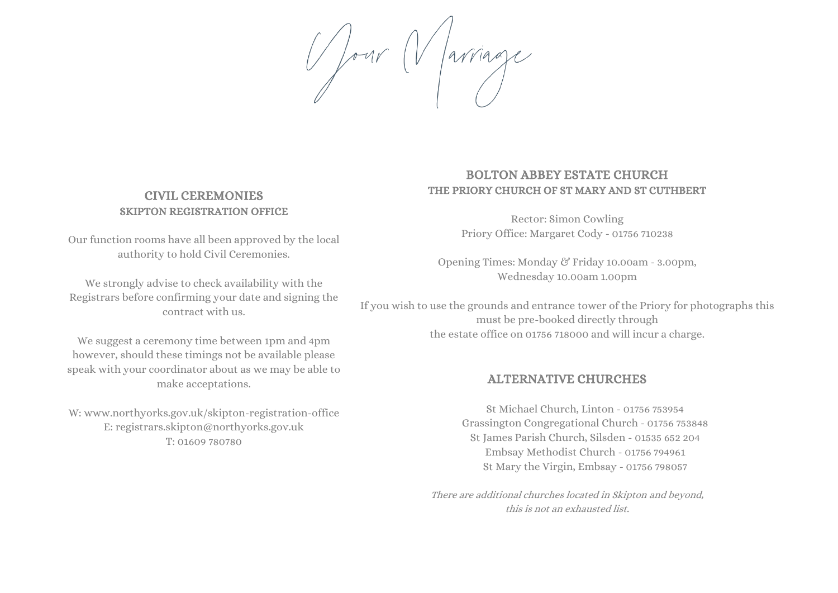Pour Varriage

### CIVIL CEREMONIES SKIPTON REGISTRATION OFFICE

Our function rooms have all been approved by the local authority to hold Civil Ceremonies.

We strongly advise to check availability with the Registrars before confirming your date and signing the contract with us.

We suggest a ceremony time between 1pm and 4pm however, should these timings not be available please speak with your coordinator about as we may be able to make acceptations.

W: [www.northyorks.gov.uk/skipton-registration-office](http://www.northyorks.gov.uk/skipton-registration-office) E: [registrars.skipton@northyorks.gov.uk](mailto:registrars.skipton@northyorks.gov.uk) T: 01609 780780

### BOLTON ABBEY ESTATE CHURCH THE PRIORY CHURCH OF ST MARY AND ST CUTHBERT

Rector: Simon Cowling Priory Office: Margaret Cody - 01756 710238

Opening Times: Monday & Friday 10.00am - 3.00pm, Wednesday 10.00am 1.00pm

If you wish to use the grounds and entrance tower of the Priory for photographs this must be pre-booked directly through the estate office on 01756 718000 and will incur a charge.

### ALTERNATIVE CHURCHES

St Michael Church, Linton - 01756 753954 Grassington Congregational Church - 01756 753848 St James Parish Church, Silsden - 01535 652 204 Embsay Methodist Church - 01756 794961 St Mary the Virgin, Embsay - 01756 798057

There are additional churches located in Skipton and beyond, this is not an exhausted list.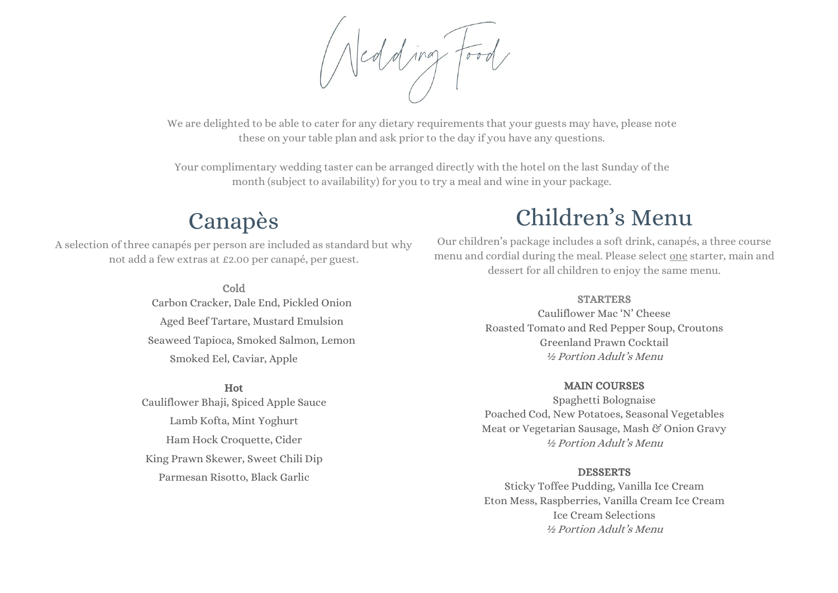

We are delighted to be able to cater for any dietary requirements that your guests may have, please note these on your table plan and ask prior to the day if you have any questions.

Your complimentary wedding taster can be arranged directly with the hotel on the last Sunday of the month (subject to availability) for you to try a meal and wine in your package.

# Canapès

A selection of three canapés per person are included as standard but why not add a few extras at £2.00 per canapé, per guest.

> Cold Carbon Cracker, Dale End, Pickled Onion Aged Beef Tartare, Mustard Emulsion Seaweed Tapioca, Smoked Salmon, Lemon Smoked Eel, Caviar, Apple

Hot Cauliflower Bhaji, Spiced Apple Sauce Lamb Kofta, Mint Yoghurt Ham Hock Croquette, Cider King Prawn Skewer, Sweet Chili Dip Parmesan Risotto, Black Garlic

# Children's Menu

Our children's package includes a soft drink, canapés, a three course menu and cordial during the meal. Please select one starter, main and dessert for all children to enjoy the same menu.

#### **STARTERS**

Cauliflower Mac 'N' Cheese Roasted Tomato and Red Pepper Soup, Croutons Greenland Prawn Cocktail ½ Portion Adult's Menu

### MAIN COURSES

Spaghetti Bolognaise Poached Cod, New Potatoes, Seasonal Vegetables Meat or Vegetarian Sausage, Mash & Onion Gravy ½ Portion Adult's Menu

### DESSERTS

Sticky Toffee Pudding, Vanilla Ice Cream Eton Mess, Raspberries, Vanilla Cream Ice Cream Ice Cream Selections ½ Portion Adult's Menu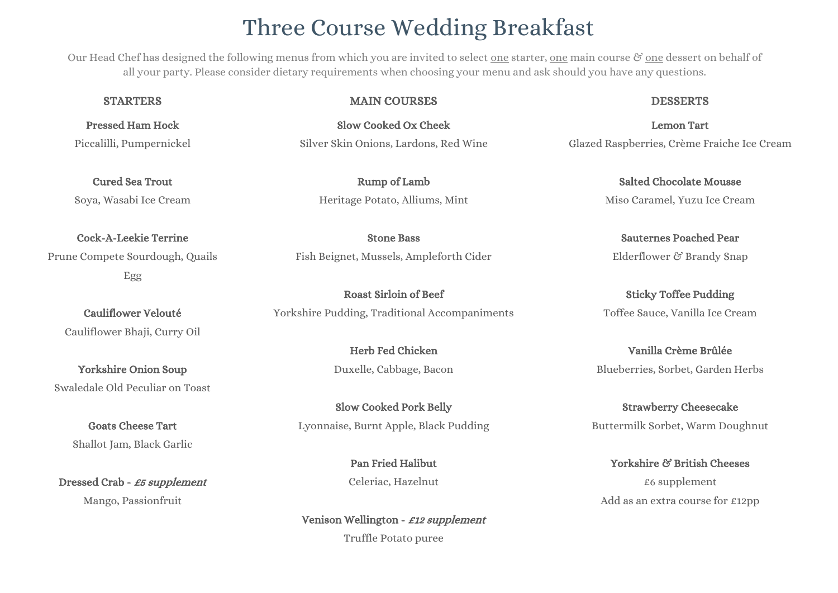# Three Course Wedding Breakfast

Our Head Chef has designed the following menus from which you are invited to select one starter, one main course  $\mathscr G$  one dessert on behalf of all your party. Please consider dietary requirements when choosing your menu and ask should you have any questions.

Pressed Ham Hock Piccalilli, Pumpernickel

Cured Sea Trout Soya, Wasabi Ice Cream

Cock-A-Leekie Terrine Prune Compete Sourdough, Quails Egg

Cauliflower Velouté Cauliflower Bhaji, Curry Oil

Yorkshire Onion Soup Swaledale Old Peculiar on Toast

> Goats Cheese Tart Shallot Jam, Black Garlic

Dressed Crab - £5 supplement Mango, Passionfruit

#### STARTERS DESSERTS MAIN COURSES DESSERTS

Slow Cooked Ox Cheek Silver Skin Onions, Lardons, Red Wine

> Rump of Lamb Heritage Potato, Alliums, Mint

Stone Bass Fish Beignet, Mussels, Ampleforth Cider

Roast Sirloin of Beef Yorkshire Pudding, Traditional Accompaniments

> Herb Fed Chicken Duxelle, Cabbage, Bacon

Slow Cooked Pork Belly Lyonnaise, Burnt Apple, Black Pudding

> Pan Fried Halibut Celeriac, Hazelnut

Venison Wellington - £12 supplement Truffle Potato puree

Lemon Tart Glazed Raspberries, Crème Fraiche Ice Cream

> Salted Chocolate Mousse Miso Caramel, Yuzu Ice Cream

Sauternes Poached Pear Elderflower & Brandy Snap

Sticky Toffee Pudding Toffee Sauce, Vanilla Ice Cream

Vanilla Crème Brûlée Blueberries, Sorbet, Garden Herbs

Strawberry Cheesecake Buttermilk Sorbet, Warm Doughnut

Yorkshire & British Cheeses £6 supplement Add as an extra course for £12pp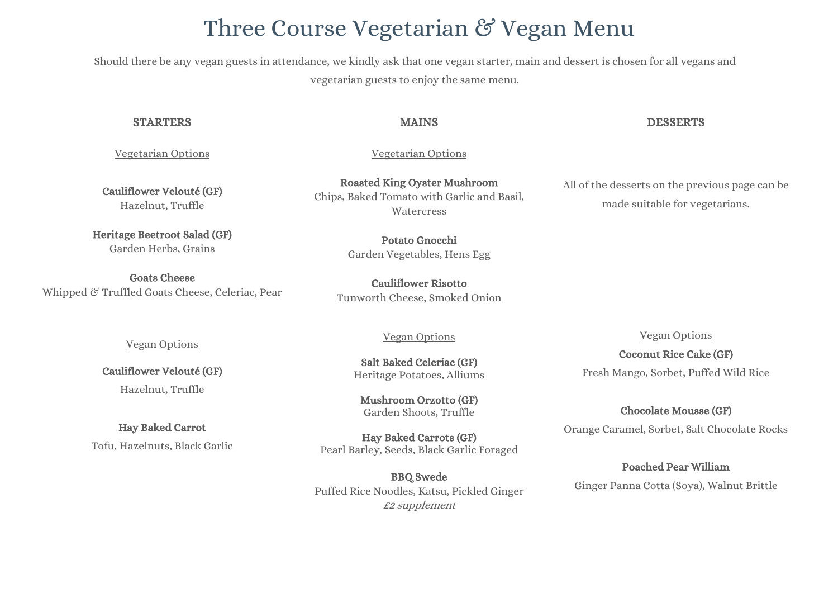# Three Course Vegetarian & Vegan Menu

Should there be any vegan guests in attendance, we kindly ask that one vegan starter, main and dessert is chosen for all vegans and vegetarian guests to enjoy the same menu.

#### STARTERS DESSERTS

#### Vegetarian Options

Cauliflower Velouté (GF) Hazelnut, Truffle

Heritage Beetroot Salad (GF) Garden Herbs, Grains

Goats Cheese Whipped & Truffled Goats Cheese, Celeriac, Pear

Vegan Options

Cauliflower Velouté (GF)

Hazelnut, Truffle

Hay Baked Carrot Tofu, Hazelnuts, Black Garlic

Roasted King Oyster Mushroom Chips, Baked Tomato with Garlic and Basil, **Watercress** 

Vegetarian Options

Potato Gnocchi Garden Vegetables, Hens Egg

Cauliflower Risotto Tunworth Cheese, Smoked Onion

#### Vegan Options

Salt Baked Celeriac (GF) Heritage Potatoes, Alliums

Mushroom Orzotto (GF) Garden Shoots, Truffle

Hay Baked Carrots (GF) Pearl Barley, Seeds, Black Garlic Foraged

BBQ Swede Puffed Rice Noodles, Katsu, Pickled Ginger £2 supplement

All of the desserts on the previous page can be made suitable for vegetarians.

Vegan Options

Coconut Rice Cake (GF) Fresh Mango, Sorbet, Puffed Wild Rice

#### Chocolate Mousse (GF)

Orange Caramel, Sorbet, Salt Chocolate Rocks

Poached Pear William

Ginger Panna Cotta (Soya), Walnut Brittle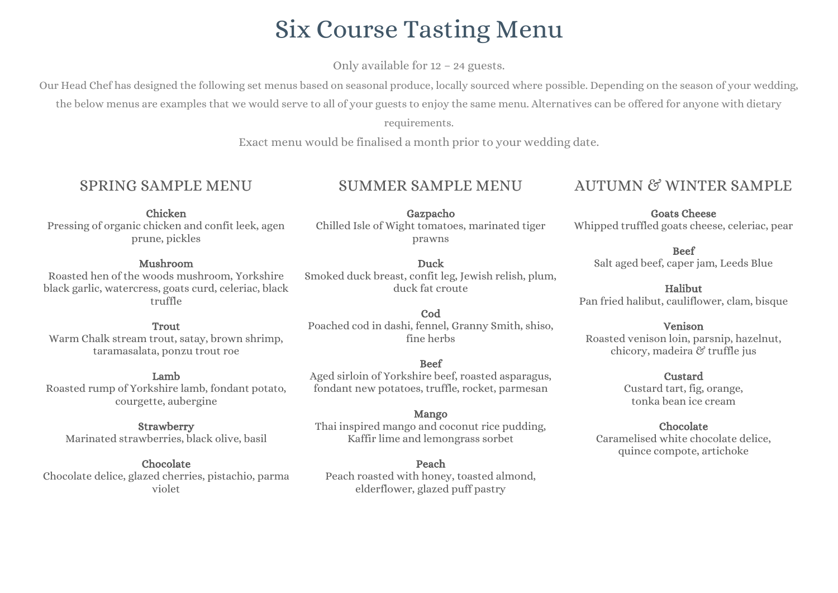# Six Course Tasting Menu

Only available for 12 – 24 guests.

Our Head Chef has designed the following set menus based on seasonal produce, locally sourced where possible. Depending on the season of your wedding,

the below menus are examples that we would serve to all of your guests to enjoy the same menu. Alternatives can be offered for anyone with dietary

requirements.

Exact menu would be finalised a month prior to your wedding date.

## SPRING SAMPLE MENU

## SUMMER SAMPLE MENU

Chicken Pressing of organic chicken and confit leek, agen prune, pickles

#### Mushroom

Roasted hen of the woods mushroom, Yorkshire black garlic, watercress, goats curd, celeriac, black truffle

#### **Trout**

Warm Chalk stream trout, satay, brown shrimp, taramasalata, ponzu trout roe

#### Lamb

Roasted rump of Yorkshire lamb, fondant potato, courgette, aubergine

### Strawberry

Marinated strawberries, black olive, basil

#### Chocolate

Chocolate delice, glazed cherries, pistachio, parma violet

Gazpacho Chilled Isle of Wight tomatoes, marinated tiger prawns

Duck Smoked duck breast, confit leg, Jewish relish, plum, duck fat croute

Cod Poached cod in dashi, fennel, Granny Smith, shiso, fine herbs

#### Beef

Aged sirloin of Yorkshire beef, roasted asparagus, fondant new potatoes, truffle, rocket, parmesan

## Mango

Thai inspired mango and coconut rice pudding, Kaffir lime and lemongrass sorbet

#### Peach

Peach roasted with honey, toasted almond, elderflower, glazed puff pastry

# AUTUMN & WINTER SAMPLE

Goats Cheese Whipped truffled goats cheese, celeriac, pear

#### Beef Salt aged beef, caper jam, Leeds Blue

Halibut Pan fried halibut, cauliflower, clam, bisque

#### Venison

Roasted venison loin, parsnip, hazelnut, chicory, madeira & truffle jus

#### Custard

Custard tart, fig, orange, tonka bean ice cream

#### Chocolate

Caramelised white chocolate delice, quince compote, artichoke